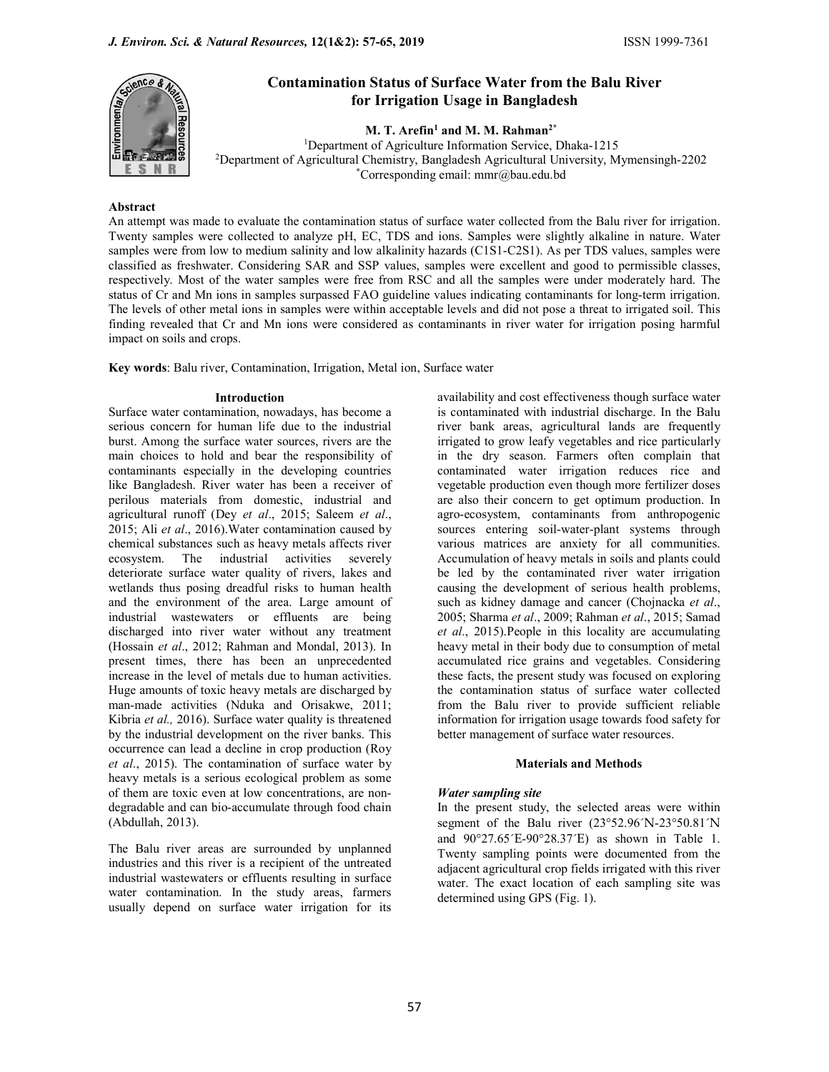

# Contamination Status of Surface Water from the Balu River for Irrigation Usage in Bangladesh

M. T. Arefin<sup>1</sup> and M. M. Rahman<sup>2\*</sup>

1Department of Agriculture Information Service, Dhaka-1215 2Department of Agricultural Chemistry, Bangladesh Agricultural University, Mymensingh-2202 \*Corresponding email: mmr@bau.edu.bd

## Abstract

An attempt was made to evaluate the contamination status of surface water collected from the Balu river for irrigation. Twenty samples were collected to analyze pH, EC, TDS and ions. Samples were slightly alkaline in nature. Water samples were from low to medium salinity and low alkalinity hazards (C1S1-C2S1). As per TDS values, samples were classified as freshwater. Considering SAR and SSP values, samples were excellent and good to permissible classes, respectively. Most of the water samples were free from RSC and all the samples were under moderately hard. The status of Cr and Mn ions in samples surpassed FAO guideline values indicating contaminants for long-term irrigation. The levels of other metal ions in samples were within acceptable levels and did not pose a threat to irrigated soil. This finding revealed that Cr and Mn ions were considered as contaminants in river water for irrigation posing harmful impact on soils and crops.

Key words: Balu river, Contamination, Irrigation, Metal ion, Surface water

Surface water contamination, nowadays, has become a serious concern for human life due to the industrial burst. Among the surface water sources, rivers are the main choices to hold and bear the responsibility of contaminants especially in the developing countries like Bangladesh. River water has been a receiver of perilous materials from domestic, industrial and agricultural runoff (Dey et al., 2015; Saleem et al., 2015; Ali et al., 2016). Water contamination caused by chemical substances such as heavy metals affects river ecosystem. The industrial activities severely deteriorate surface water quality of rivers, lakes and wetlands thus posing dreadful risks to human health causing the development of serious health problems, and the environment of the area. Large amount of such as kidney damage and cancer (Chojnacka et al., and the environment of the area. Large amount of industrial wastewaters or effluents are being discharged into river water without any treatment (Hossain et al., 2012; Rahman and Mondal, 2013). In present times, there has been an unprecedented increase in the level of metals due to human activities. Huge amounts of toxic heavy metals are discharged by man-made activities (Nduka and Orisakwe, 2011; Kibria et al., 2016). Surface water quality is threatened by the industrial development on the river banks. This occurrence can lead a decline in crop production (Roy et al., 2015). The contamination of surface water by heavy metals is a serious ecological problem as some of them are toxic even at low concentrations, are nondegradable and can bio-accumulate through food chain (Abdullah, 2013).

The Balu river areas are surrounded by unplanned industries and this river is a recipient of the untreated industrial wastewaters or effluents resulting in surface water contamination. In the study areas, farmers usually depend on surface water irrigation for its

**Introduction** availability and cost effectiveness though surface water is contaminated with industrial discharge. In the Balu river bank areas, agricultural lands are frequently irrigated to grow leafy vegetables and rice particularly in the dry season. Farmers often complain that contaminated water irrigation reduces rice and vegetable production even though more fertilizer doses are also their concern to get optimum production. In agro-ecosystem, contaminants from anthropogenic sources entering soil-water-plant systems through various matrices are anxiety for all communities. Accumulation of heavy metals in soils and plants could be led by the contaminated river water irrigation causing the development of serious health problems, 2005; Sharma et al., 2009; Rahman et al., 2015; Samad et al., 2015).People in this locality are accumulating heavy metal in their body due to consumption of metal accumulated rice grains and vegetables. Considering these facts, the present study was focused on exploring the contamination status of surface water collected from the Balu river to provide sufficient reliable information for irrigation usage towards food safety for better management of surface water resources.

# Materials and Methods

# Water sampling site

In the present study, the selected areas were within segment of the Balu river (23°52.96´N-23°50.81´N and 90°27.65´E-90°28.37´E) as shown in Table 1. Twenty sampling points were documented from the adjacent agricultural crop fields irrigated with this river water. The exact location of each sampling site was determined using GPS (Fig. 1).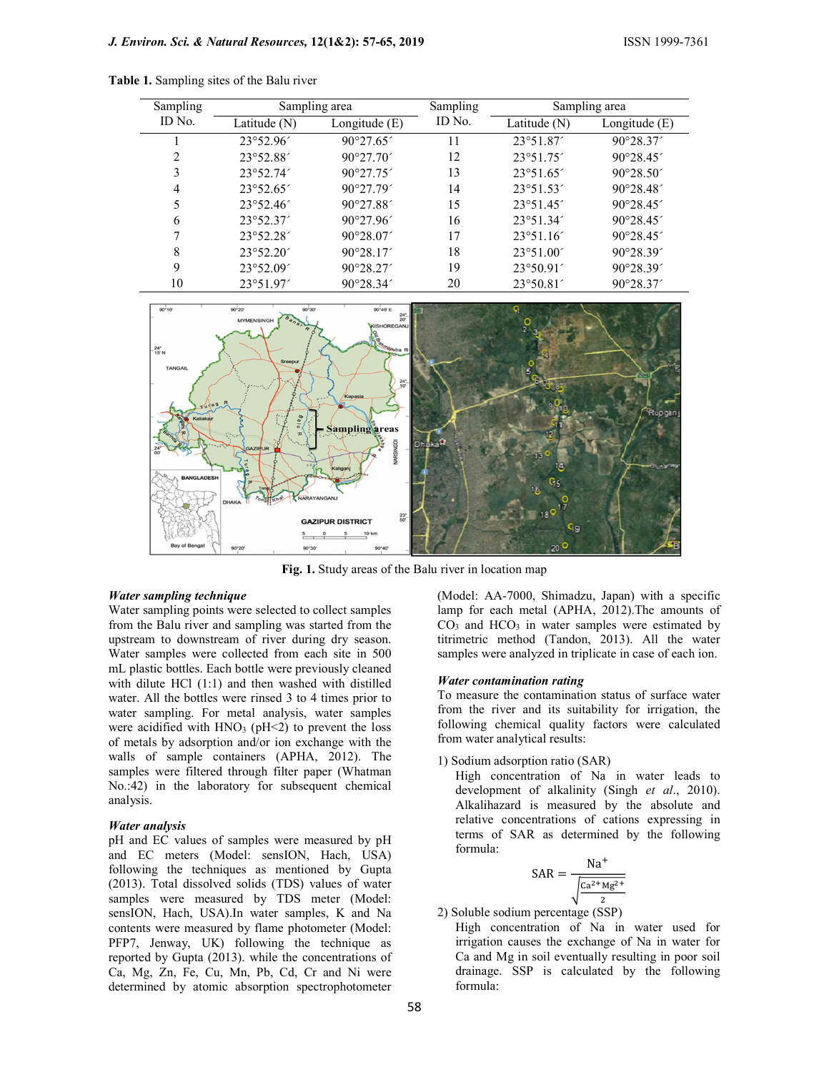| Sampling |                    | Sampling area      | Sampling | Sampling area      |                    |  |
|----------|--------------------|--------------------|----------|--------------------|--------------------|--|
| ID No.   | Latitude (N)       | Longitude $(E)$    | ID No.   | Latitude (N)       | Longitude $(E)$    |  |
|          | 23°52.96'          | $90^{\circ}27.65'$ | 11       | 23°51.87'          | $90^{\circ}28.37'$ |  |
| 2        | 23°52.88           | 90°27.70'          | 12       | 23°51.75'          | $90^{\circ}28.45'$ |  |
|          | $23^{\circ}52.74'$ | 90°27.75'          | 13       | $23^{\circ}51.65'$ | $90^{\circ}28.50'$ |  |
| 4        | $23^{\circ}52.65'$ | 90°27.79'          | 14       | $23^{\circ}51.53'$ | $90^{\circ}28.48'$ |  |
|          | $23^{\circ}52.46'$ | 90°27.88'          | 15       | 23°51.45'          | $90^{\circ}28.45'$ |  |
| 6        | $23^{\circ}52.37'$ | 90°27.96'          | 16       | $23^{\circ}51.34'$ | $90^{\circ}28.45'$ |  |
|          | $23^{\circ}52.28'$ | $90^{\circ}28.07'$ | 17       | 23°51.16'          | $90^{\circ}28.45'$ |  |
| 8        | $23^{\circ}52.20'$ | $90^{\circ}28.17'$ | 18       | 23°51.00'          | $90^{\circ}28.39'$ |  |
| 9        | $23^{\circ}52.09'$ | $90^{\circ}28.27'$ | 19       | $23^{\circ}50.91'$ | $90^{\circ}28.39'$ |  |
| 10       | 23°51.97'          | 90°28.34'          | 20       | $23^{\circ}50.81'$ | $90^{\circ}28.37'$ |  |

Table 1. Sampling sites of the Balu river



Fig. 1. Study areas of the Balu river in location map

#### Water sampling technique

Water sampling points were selected to collect samples from the Balu river and sampling was started from the upstream to downstream of river during dry season. Water samples were collected from each site in 500 mL plastic bottles. Each bottle were previously cleaned with dilute HCl (1:1) and then washed with distilled water. All the bottles were rinsed 3 to 4 times prior to water sampling. For metal analysis, water samples were acidified with  $HNO<sub>3</sub>$  (pH<2) to prevent the loss of metals by adsorption and/or ion exchange with the walls of sample containers (APHA, 2012). The samples were filtered through filter paper (Whatman No.:42) in the laboratory for subsequent chemical analysis.

#### Water analysis

pH and EC values of samples were measured by pH and EC meters (Model: sensION, Hach, USA) following the techniques as mentioned by Gupta (2013). Total dissolved solids (TDS) values of water samples were measured by TDS meter (Model: sensION, Hach, USA).In water samples, K and Na contents were measured by flame photometer (Model: PFP7, Jenway, UK) following the technique as reported by Gupta (2013). while the concentrations of Ca, Mg, Zn, Fe, Cu, Mn, Pb, Cd, Cr and Ni were determined by atomic absorption spectrophotometer

(Model: AA-7000, Shimadzu, Japan) with a specific lamp for each metal (APHA, 2012).The amounts of  $CO<sub>3</sub>$  and  $HCO<sub>3</sub>$  in water samples were estimated by titrimetric method (Tandon, 2013). All the water samples were analyzed in triplicate in case of each ion.

#### Water contamination rating

To measure the contamination status of surface water from the river and its suitability for irrigation, the following chemical quality factors were calculated from water analytical results:

1) Sodium adsorption ratio (SAR)

High concentration of Na in water leads to development of alkalinity (Singh et al., 2010). Alkalihazard is measured by the absolute and relative concentrations of cations expressing in terms of SAR as determined by the following formula:  $20^{\circ}$ <br>
and Shimadzu, Japan) with a specific<br>
and (APHA, 2012).The amounts of<br>
a water samples were estimated by<br>
1 (Tandon, 2013). All the water<br>
syzed in triplicate in case of each ion.<br> **ion rating**<br>
ontaining<br>
ontai

$$
SAR = \frac{Na^{+}}{\sqrt{\frac{Ca^{2+}Mg^{2+}}{2}}}
$$

2) Soluble sodium percentage (SSP)

High concentration of Na in water used for irrigation causes the exchange of Na in water for Ca and Mg in soil eventually resulting in poor soil drainage. SSP is calculated by the following formula: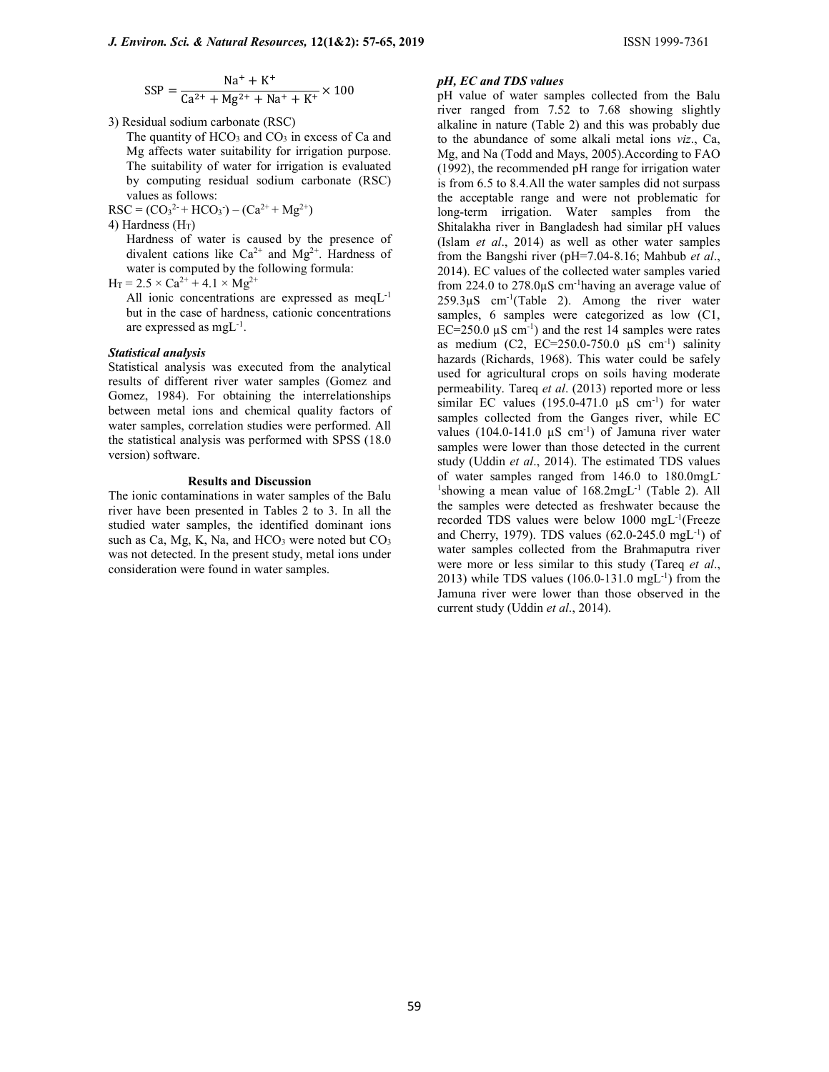$$
SSP = \frac{Na^{+} + K^{+}}{Ca^{2+} + Mg^{2+} + Na^{+} + K^{+}} \times 100
$$

3) Residual sodium carbonate (RSC)

The quantity of  $HCO<sub>3</sub>$  and  $CO<sub>3</sub>$  in excess of Ca and Mg affects water suitability for irrigation purpose. The suitability of water for irrigation is evaluated by computing residual sodium carbonate (RSC) values as follows:

 $RSC = (CO<sub>3</sub><sup>2+</sup> + HCO<sub>3</sub><sup>-</sup>) - (Ca<sup>2+</sup> + Mg<sup>2+</sup>)$ 

4) Hardness  $(H_T)$ 

Hardness of water is caused by the presence of divalent cations like  $Ca^{2+}$  and  $Mg^{2+}$ . Hardness of water is computed by the following formula:

 $H_T = 2.5 \times Ca^{2+} + 4.1 \times Mg^{2+}$ 

All ionic concentrations are expressed as meqL-1 but in the case of hardness, cationic concentrations are expressed as  $mgL^{-1}$ .

#### Statistical analysis

Statistical analysis was executed from the analytical results of different river water samples (Gomez and Gomez, 1984). For obtaining the interrelationships between metal ions and chemical quality factors of water samples, correlation studies were performed. All the statistical analysis was performed with SPSS (18.0 version) software.

### Results and Discussion

The ionic contaminations in water samples of the Balu river have been presented in Tables 2 to 3. In all the studied water samples, the identified dominant ions such as Ca, Mg, K, Na, and  $HCO<sub>3</sub>$  were noted but  $CO<sub>3</sub>$ was not detected. In the present study, metal ions under consideration were found in water samples.

#### pH, EC and TDS values

pH value of water samples collected from the Balu river ranged from 7.52 to 7.68 showing slightly alkaline in nature (Table 2) and this was probably due to the abundance of some alkali metal ions viz., Ca, Mg, and Na (Todd and Mays, 2005).According to FAO (1992), the recommended pH range for irrigation water is from 6.5 to 8.4.All the water samples did not surpass the acceptable range and were not problematic for long-term irrigation. Water samples from the Shitalakha river in Bangladesh had similar pH values (Islam et al., 2014) as well as other water samples from the Bangshi river (pH=7.04-8.16; Mahbub et al., 2014). EC values of the collected water samples varied from 224.0 to 278.0µS cm-1having an average value of  $259.3 \mu S$  cm<sup>-1</sup>(Table 2). Among the river water samples, 6 samples were categorized as low (C1, EC=250.0  $\mu$ S cm<sup>-1</sup>) and the rest 14 samples were rates as medium (C2, EC=250.0-750.0  $\mu$ S cm<sup>-1</sup>) salinity hazards (Richards, 1968). This water could be safely used for agricultural crops on soils having moderate permeability. Tareq et al. (2013) reported more or less similar EC values  $(195.0-471.0 \text{ }\mu\text{S} \text{ cm}^{-1})$  for water samples collected from the Ganges river, while EC values  $(104.0-141.0 \mu S \text{ cm}^{-1})$  of Jamuna river water samples were lower than those detected in the current study (Uddin et al., 2014). The estimated TDS values of water samples ranged from 146.0 to 180.0mgL-<sup>1</sup>showing a mean value of 168.2mgL<sup>-1</sup> (Table 2). All the samples were detected as freshwater because the recorded TDS values were below 1000 mgL-1(Freeze and Cherry, 1979). TDS values (62.0-245.0 mgL-1) of water samples collected from the Brahmaputra river were more or less similar to this study (Tareq et al., 2013) while TDS values  $(106.0-131.0 \text{ mgL}^{-1})$  from the Jamuna river were lower than those observed in the current study (Uddin et al., 2014).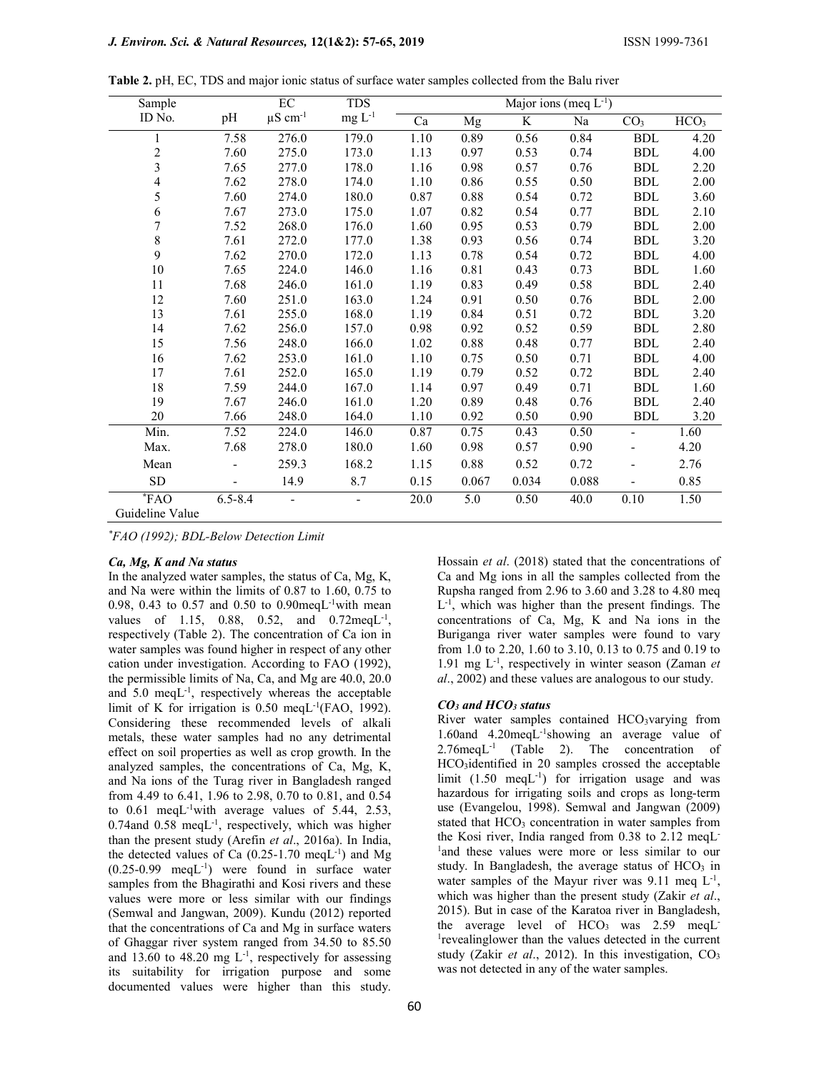| Sample                   |             | $\rm EC$                 | <b>TDS</b> | Major ions (meq $L^{-1}$ ) |       |       |       |                      |                  |
|--------------------------|-------------|--------------------------|------------|----------------------------|-------|-------|-------|----------------------|------------------|
| ID No.                   | pH          | $\mu$ S cm <sup>-1</sup> | $mg L-1$   | Ca                         | Mg    | K     | Na    | CO <sub>3</sub>      | HCO <sub>3</sub> |
| $\mathbf{1}$             | 7.58        | 276.0                    | 179.0      | 1.10                       | 0.89  | 0.56  | 0.84  | $\operatorname{BDL}$ | 4.20             |
| $\overline{c}$           | 7.60        | 275.0                    | 173.0      | 1.13                       | 0.97  | 0.53  | 0.74  | <b>BDL</b>           | 4.00             |
| 3                        | 7.65        | 277.0                    | 178.0      | 1.16                       | 0.98  | 0.57  | 0.76  | <b>BDL</b>           | 2.20             |
| $\overline{\mathcal{L}}$ | 7.62        | 278.0                    | 174.0      | 1.10                       | 0.86  | 0.55  | 0.50  | <b>BDL</b>           | 2.00             |
| 5                        | 7.60        | 274.0                    | 180.0      | 0.87                       | 0.88  | 0.54  | 0.72  | <b>BDL</b>           | 3.60             |
| 6                        | 7.67        | 273.0                    | 175.0      | 1.07                       | 0.82  | 0.54  | 0.77  | <b>BDL</b>           | 2.10             |
| $\overline{7}$           | 7.52        | 268.0                    | 176.0      | 1.60                       | 0.95  | 0.53  | 0.79  | <b>BDL</b>           | 2.00             |
| 8                        | 7.61        | 272.0                    | 177.0      | 1.38                       | 0.93  | 0.56  | 0.74  | <b>BDL</b>           | 3.20             |
| 9                        | 7.62        | 270.0                    | 172.0      | 1.13                       | 0.78  | 0.54  | 0.72  | <b>BDL</b>           | 4.00             |
| 10                       | 7.65        | 224.0                    | 146.0      | 1.16                       | 0.81  | 0.43  | 0.73  | <b>BDL</b>           | 1.60             |
| 11                       | 7.68        | 246.0                    | 161.0      | 1.19                       | 0.83  | 0.49  | 0.58  | <b>BDL</b>           | 2.40             |
| 12                       | 7.60        | 251.0                    | 163.0      | 1.24                       | 0.91  | 0.50  | 0.76  | <b>BDL</b>           | 2.00             |
| 13                       | 7.61        | 255.0                    | 168.0      | 1.19                       | 0.84  | 0.51  | 0.72  | <b>BDL</b>           | 3.20             |
| 14                       | 7.62        | 256.0                    | 157.0      | 0.98                       | 0.92  | 0.52  | 0.59  | <b>BDL</b>           | 2.80             |
| 15                       | 7.56        | 248.0                    | 166.0      | 1.02                       | 0.88  | 0.48  | 0.77  | <b>BDL</b>           | 2.40             |
| 16                       | 7.62        | 253.0                    | 161.0      | 1.10                       | 0.75  | 0.50  | 0.71  | <b>BDL</b>           | 4.00             |
| 17                       | 7.61        | 252.0                    | 165.0      | 1.19                       | 0.79  | 0.52  | 0.72  | <b>BDL</b>           | 2.40             |
| 18                       | 7.59        | 244.0                    | 167.0      | 1.14                       | 0.97  | 0.49  | 0.71  | <b>BDL</b>           | 1.60             |
| 19                       | 7.67        | 246.0                    | 161.0      | 1.20                       | 0.89  | 0.48  | 0.76  | <b>BDL</b>           | 2.40             |
| 20                       | 7.66        | 248.0                    | 164.0      | 1.10                       | 0.92  | 0.50  | 0.90  | <b>BDL</b>           | 3.20             |
| Min.                     | 7.52        | 224.0                    | 146.0      | 0.87                       | 0.75  | 0.43  | 0.50  |                      | 1.60             |
| Max.                     | 7.68        | 278.0                    | 180.0      | 1.60                       | 0.98  | 0.57  | 0.90  |                      | 4.20             |
| Mean                     |             | 259.3                    | 168.2      | 1.15                       | 0.88  | 0.52  | 0.72  |                      | 2.76             |
| SD                       |             | 14.9                     | 8.7        | 0.15                       | 0.067 | 0.034 | 0.088 |                      | 0.85             |
| $*FAO$                   | $6.5 - 8.4$ |                          |            | 20.0                       | 5.0   | 0.50  | 40.0  | 0.10                 | 1.50             |
| Guideline Value          |             |                          |            |                            |       |       |       |                      |                  |

Table 2. pH, EC, TDS and major ionic status of surface water samples collected from the Balu river

\*FAO (1992); BDL-Below Detection Limit

#### Ca, Mg, K and Na status

In the analyzed water samples, the status of Ca, Mg, K, and Na were within the limits of 0.87 to 1.60, 0.75 to 0.98, 0.43 to 0.57 and 0.50 to 0.90meqL<sup>-1</sup>with mean values of 1.15, 0.88, 0.52, and  $0.72 \text{meq}L^{-1}$ , respectively (Table 2). The concentration of Ca ion in water samples was found higher in respect of any other cation under investigation. According to FAO (1992), the permissible limits of Na, Ca, and Mg are 40.0, 20.0 and  $5.0 \text{ meq}L^{-1}$ , respectively whereas the acceptable limit of K for irrigation is  $0.50 \text{ meqL}^{-1}$ (FAO, 1992). Considering these recommended levels of alkali metals, these water samples had no any detrimental effect on soil properties as well as crop growth. In the analyzed samples, the concentrations of Ca, Mg, K, and Na ions of the Turag river in Bangladesh ranged from 4.49 to 6.41, 1.96 to 2.98, 0.70 to 0.81, and 0.54 to  $0.61$  meqL<sup>-1</sup>with average values of 5.44, 2.53,  $0.74$ and  $0.58$  meqL<sup>-1</sup>, respectively, which was higher than the present study (Arefin et al., 2016a). In India, the detected values of Ca  $(0.25-1.70 \text{ meqL}^{-1})$  and Mg  $(0.25-0.99 \text{ meqL}^{-1})$  were found in surface water samples from the Bhagirathi and Kosi rivers and these values were more or less similar with our findings (Semwal and Jangwan, 2009). Kundu (2012) reported that the concentrations of Ca and Mg in surface waters of Ghaggar river system ranged from 34.50 to 85.50 and 13.60 to 48.20 mg  $L^{-1}$ , respectively for assessing its suitability for irrigation purpose and some documented values were higher than this study.

Hossain et al. (2018) stated that the concentrations of Ca and Mg ions in all the samples collected from the Rupsha ranged from 2.96 to 3.60 and 3.28 to 4.80 meq L -1, which was higher than the present findings. The concentrations of Ca, Mg, K and Na ions in the Buriganga river water samples were found to vary from 1.0 to 2.20, 1.60 to 3.10, 0.13 to 0.75 and 0.19 to 1.91 mg  $L^{-1}$ , respectively in winter season (Zaman et al., 2002) and these values are analogous to our study.

#### CO<sub>3</sub> and HCO<sub>3</sub> status

River water samples contained HCO3varying from 1.60and 4.20meqL-1showing an average value of  $2.76$ meq $L^{-1}$  (Table 2). The concentration of HCO3identified in 20 samples crossed the acceptable limit (1.50 meqL<sup>-1</sup>) for irrigation usage and was hazardous for irrigating soils and crops as long-term use (Evangelou, 1998). Semwal and Jangwan (2009) stated that  $HCO<sub>3</sub>$  concentration in water samples from the Kosi river, India ranged from 0.38 to 2.12 meqL-<sup>1</sup>and these values were more or less similar to our study. In Bangladesh, the average status of  $HCO<sub>3</sub>$  in water samples of the Mayur river was  $9.11$  meq  $L^{-1}$ , which was higher than the present study (Zakir et al., 2015). But in case of the Karatoa river in Bangladesh, the average level of  $HCO<sub>3</sub>$  was 2.59 meqL 1 revealinglower than the values detected in the current study (Zakir et al., 2012). In this investigation,  $CO<sub>3</sub>$ was not detected in any of the water samples.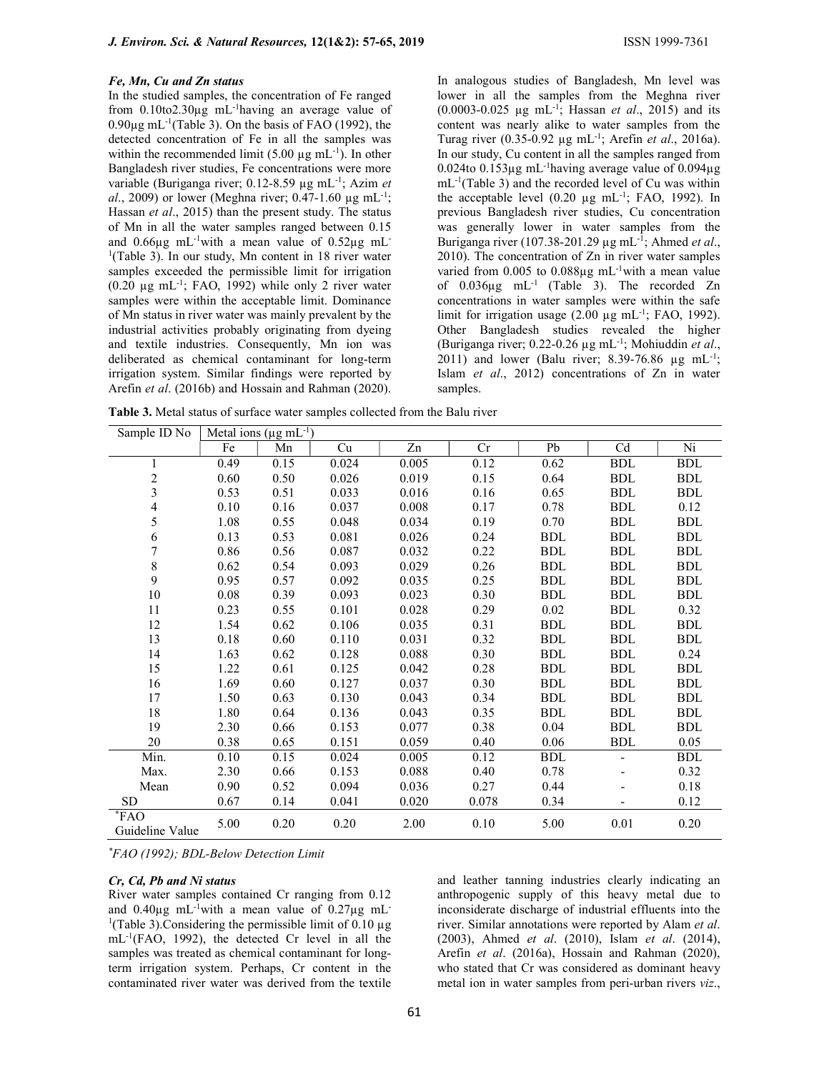#### Fe, Mn, Cu and Zn status

In the studied samples, the concentration of Fe ranged from 0.10to2.30µg mL-1having an average value of  $0.90\mu$ g mL<sup>-1</sup>(Table 3). On the basis of FAO (1992), the detected concentration of Fe in all the samples was within the recommended limit (5.00  $\mu$ g mL<sup>-1</sup>). In other Bangladesh river studies, Fe concentrations were more variable (Buriganga river; 0.12-8.59 µg mL<sup>-1</sup>; Azim et al., 2009) or lower (Meghna river; 0.47-1.60  $\mu$ g mL<sup>-1</sup>; Hassan et al., 2015) than the present study. The status of Mn in all the water samples ranged between 0.15 and  $0.66\mu$ g mL<sup>-1</sup>with a mean value of  $0.52\mu$ g mL<sup>-1</sup>  $<sup>1</sup>(Table 3)$ . In our study, Mn content in 18 river water</sup> samples exceeded the permissible limit for irrigation (0.20 µg mL-1; FAO, 1992) while only 2 river water samples were within the acceptable limit. Dominance of Mn status in river water was mainly prevalent by the industrial activities probably originating from dyeing and textile industries. Consequently, Mn ion was deliberated as chemical contaminant for long-term irrigation system. Similar findings were reported by Arefin et al. (2016b) and Hossain and Rahman (2020).

In analogous studies of Bangladesh, Mn level was lower in all the samples from the Meghna river  $(0.0003 - 0.025 \mu g mL^{-1})$ ; Hassan *et al.*, 2015) and its content was nearly alike to water samples from the Turag river  $(0.35-0.92 \mu g \text{ mL}^{-1})$ ; Arefin et al., 2016a). In our study, Cu content in all the samples ranged from 0.024to 0.153 $\mu$ g mL<sup>-1</sup>having average value of 0.094 $\mu$ g  $mL^{-1}$ (Table 3) and the recorded level of Cu was within the acceptable level  $(0.20 \mu g \text{ mL}^{-1})$ ; FAO, 1992). In previous Bangladesh river studies, Cu concentration was generally lower in water samples from the Buriganga river (107.38-201.29 µg mL $^{-1}$ ; Ahmed et al., 2010). The concentration of Zn in river water samples varied from 0.005 to 0.088µg mL<sup>-1</sup>with a mean value of 0.036µg mL-1 (Table 3). The recorded Zn concentrations in water samples were within the safe limit for irrigation usage  $(2.00 \mu g \text{ mL}^{-1})$ ; FAO, 1992). Other Bangladesh studies revealed the higher (Buriganga river; 0.22-0.26  $\mu$ g mL<sup>-1</sup>; Mohiuddin et al., 2011) and lower (Balu river; 8.39-76.86  $\mu$ g mL<sup>-1</sup>; Islam et al., 2012) concentrations of Zn in water samples.

Table 3. Metal status of surface water samples collected from the Balu river

| Sample ID No                        | Metal ions ( $\mu$ g mL <sup>-1</sup> ) |      |       |       |       |            |            |            |
|-------------------------------------|-----------------------------------------|------|-------|-------|-------|------------|------------|------------|
|                                     | $\rm Fe$                                | Mn   | Cu    | Zn    | Cr    | Pb         | Cd         | Ni         |
| $\mathbf{1}$                        | 0.49                                    | 0.15 | 0.024 | 0.005 | 0.12  | 0.62       | <b>BDL</b> | <b>BDL</b> |
| $\overline{c}$                      | 0.60                                    | 0.50 | 0.026 | 0.019 | 0.15  | 0.64       | <b>BDL</b> | BDL        |
| 3                                   | 0.53                                    | 0.51 | 0.033 | 0.016 | 0.16  | 0.65       | <b>BDL</b> | <b>BDL</b> |
| 4                                   | 0.10                                    | 0.16 | 0.037 | 0.008 | 0.17  | 0.78       | <b>BDL</b> | 0.12       |
| 5                                   | 1.08                                    | 0.55 | 0.048 | 0.034 | 0.19  | 0.70       | <b>BDL</b> | <b>BDL</b> |
| 6                                   | 0.13                                    | 0.53 | 0.081 | 0.026 | 0.24  | <b>BDL</b> | <b>BDL</b> | <b>BDL</b> |
| 7                                   | 0.86                                    | 0.56 | 0.087 | 0.032 | 0.22  | <b>BDL</b> | <b>BDL</b> | <b>BDL</b> |
| 8                                   | 0.62                                    | 0.54 | 0.093 | 0.029 | 0.26  | <b>BDL</b> | <b>BDL</b> | <b>BDL</b> |
| 9                                   | 0.95                                    | 0.57 | 0.092 | 0.035 | 0.25  | <b>BDL</b> | <b>BDL</b> | <b>BDL</b> |
| $10\,$                              | 0.08                                    | 0.39 | 0.093 | 0.023 | 0.30  | <b>BDL</b> | <b>BDL</b> | <b>BDL</b> |
| 11                                  | 0.23                                    | 0.55 | 0.101 | 0.028 | 0.29  | 0.02       | <b>BDL</b> | 0.32       |
| 12                                  | 1.54                                    | 0.62 | 0.106 | 0.035 | 0.31  | <b>BDL</b> | <b>BDL</b> | <b>BDL</b> |
| 13                                  | 0.18                                    | 0.60 | 0.110 | 0.031 | 0.32  | <b>BDL</b> | <b>BDL</b> | <b>BDL</b> |
| 14                                  | 1.63                                    | 0.62 | 0.128 | 0.088 | 0.30  | <b>BDL</b> | <b>BDL</b> | 0.24       |
| 15                                  | 1.22                                    | 0.61 | 0.125 | 0.042 | 0.28  | <b>BDL</b> | <b>BDL</b> | <b>BDL</b> |
| 16                                  | 1.69                                    | 0.60 | 0.127 | 0.037 | 0.30  | <b>BDL</b> | <b>BDL</b> | <b>BDL</b> |
| 17                                  | 1.50                                    | 0.63 | 0.130 | 0.043 | 0.34  | <b>BDL</b> | <b>BDL</b> | <b>BDL</b> |
| $18\,$                              | 1.80                                    | 0.64 | 0.136 | 0.043 | 0.35  | <b>BDL</b> | <b>BDL</b> | <b>BDL</b> |
| 19                                  | 2.30                                    | 0.66 | 0.153 | 0.077 | 0.38  | 0.04       | <b>BDL</b> | <b>BDL</b> |
| 20                                  | 0.38                                    | 0.65 | 0.151 | 0.059 | 0.40  | 0.06       | <b>BDL</b> | 0.05       |
| Min.                                | 0.10                                    | 0.15 | 0.024 | 0.005 | 0.12  | <b>BDL</b> | ÷,         | <b>BDL</b> |
| Max.                                | 2.30                                    | 0.66 | 0.153 | 0.088 | 0.40  | 0.78       |            | 0.32       |
| Mean                                | 0.90                                    | 0.52 | 0.094 | 0.036 | 0.27  | 0.44       |            | 0.18       |
| <b>SD</b>                           | 0.67                                    | 0.14 | 0.041 | 0.020 | 0.078 | 0.34       |            | 0.12       |
| $\overline{F}AO$<br>Guideline Value | 5.00                                    | 0.20 | 0.20  | 2.00  | 0.10  | 5.00       | 0.01       | 0.20       |

\*FAO (1992); BDL-Below Detection Limit

#### Cr, Cd, Pb and Ni status

River water samples contained Cr ranging from 0.12 and  $0.40\mu$ g mL<sup>-1</sup>with a mean value of  $0.27\mu$ g mL<sup>-1</sup> <sup>1</sup>(Table 3). Considering the permissible limit of 0.10  $\mu$ g mL-1(FAO, 1992), the detected Cr level in all the samples was treated as chemical contaminant for longterm irrigation system. Perhaps, Cr content in the contaminated river water was derived from the textile

and leather tanning industries clearly indicating an anthropogenic supply of this heavy metal due to inconsiderate discharge of industrial effluents into the river. Similar annotations were reported by Alam et al. (2003), Ahmed et al. (2010), Islam et al. (2014), Arefin et al. (2016a), Hossain and Rahman (2020), who stated that Cr was considered as dominant heavy metal ion in water samples from peri-urban rivers viz.,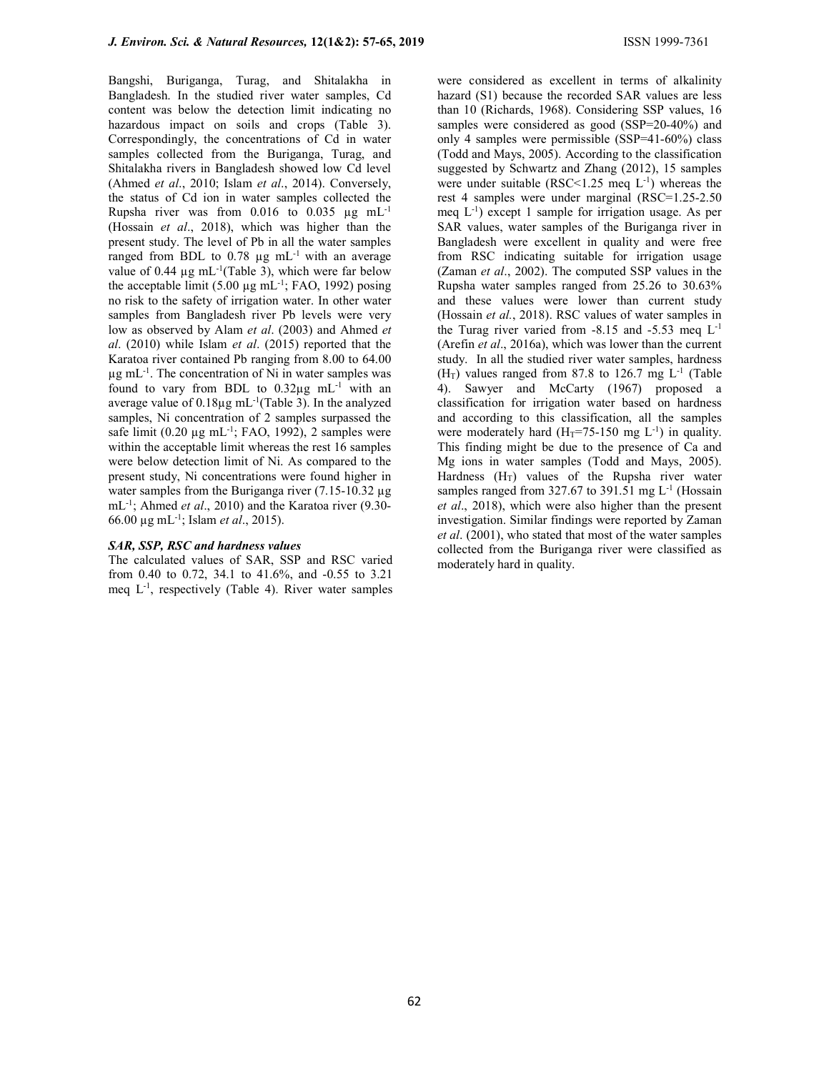Bangshi, Buriganga, Turag, and Shitalakha in Bangladesh. In the studied river water samples, Cd content was below the detection limit indicating no hazardous impact on soils and crops (Table 3). Correspondingly, the concentrations of Cd in water samples collected from the Buriganga, Turag, and Shitalakha rivers in Bangladesh showed low Cd level (Ahmed et al., 2010; Islam et al., 2014). Conversely, the status of Cd ion in water samples collected the Rupsha river was from  $0.016$  to  $0.035 \mu g mL^{-1}$ (Hossain et al., 2018), which was higher than the present study. The level of Pb in all the water samples ranged from BDL to  $0.78 \mu$ g mL<sup>-1</sup> with an average value of 0.44  $\mu$ g mL<sup>-1</sup>(Table 3), which were far below the acceptable limit  $(5.00 \mu g \text{ mL}^{-1})$ ; FAO, 1992) posing no risk to the safety of irrigation water. In other water samples from Bangladesh river Pb levels were very low as observed by Alam et al. (2003) and Ahmed et  $al.$  (2010) while Islam et al. (2015) reported that the Karatoa river contained Pb ranging from 8.00 to 64.00 µg mL-1. The concentration of Ni in water samples was found to vary from BDL to  $0.32\mu$ g mL<sup>-1</sup> with an average value of  $0.18\mu g$  mL<sup>-1</sup>(Table 3). In the analyzed samples, Ni concentration of 2 samples surpassed the safe limit  $(0.20 \mu g \text{ mL}^{-1})$ ; FAO, 1992), 2 samples were within the acceptable limit whereas the rest 16 samples were below detection limit of Ni. As compared to the present study, Ni concentrations were found higher in water samples from the Buriganga river  $(7.15-10.32 \mu g)$ mL<sup>-1</sup>; Ahmed et al., 2010) and the Karatoa river (9.30-66.00 µg mL-1; Islam et al., 2015).

### SAR, SSP, RSC and hardness values

The calculated values of SAR, SSP and RSC varied from 0.40 to 0.72, 34.1 to 41.6%, and -0.55 to 3.21 meq  $L^{-1}$ , respectively (Table 4). River water samples were considered as excellent in terms of alkalinity hazard (S1) because the recorded SAR values are less than 10 (Richards, 1968). Considering SSP values, 16 samples were considered as good (SSP=20-40%) and only 4 samples were permissible (SSP=41-60%) class (Todd and Mays, 2005). According to the classification suggested by Schwartz and Zhang (2012), 15 samples were under suitable (RSC<1.25 meq  $L^{-1}$ ) whereas the rest 4 samples were under marginal (RSC=1.25-2.50 meq  $L^{-1}$ ) except 1 sample for irrigation usage. As per SAR values, water samples of the Buriganga river in Bangladesh were excellent in quality and were free from RSC indicating suitable for irrigation usage (Zaman et al., 2002). The computed SSP values in the Rupsha water samples ranged from 25.26 to 30.63% and these values were lower than current study (Hossain et al., 2018). RSC values of water samples in the Turag river varied from  $-8.15$  and  $-5.53$  meq  $L^{-1}$ (Arefin et al., 2016a), which was lower than the current study. In all the studied river water samples, hardness  $(H_T)$  values ranged from 87.8 to 126.7 mg  $L^{-1}$  (Table 4). Sawyer and McCarty (1967) proposed a classification for irrigation water based on hardness and according to this classification, all the samples were moderately hard  $(H_T=75-150 \text{ mg } L^{-1})$  in quality. This finding might be due to the presence of Ca and Mg ions in water samples (Todd and Mays, 2005). Hardness  $(H_T)$  values of the Rupsha river water samples ranged from 327.67 to 391.51 mg L<sup>-1</sup> (Hossain et al., 2018), which were also higher than the present investigation. Similar findings were reported by Zaman et al. (2001), who stated that most of the water samples collected from the Buriganga river were classified as moderately hard in quality.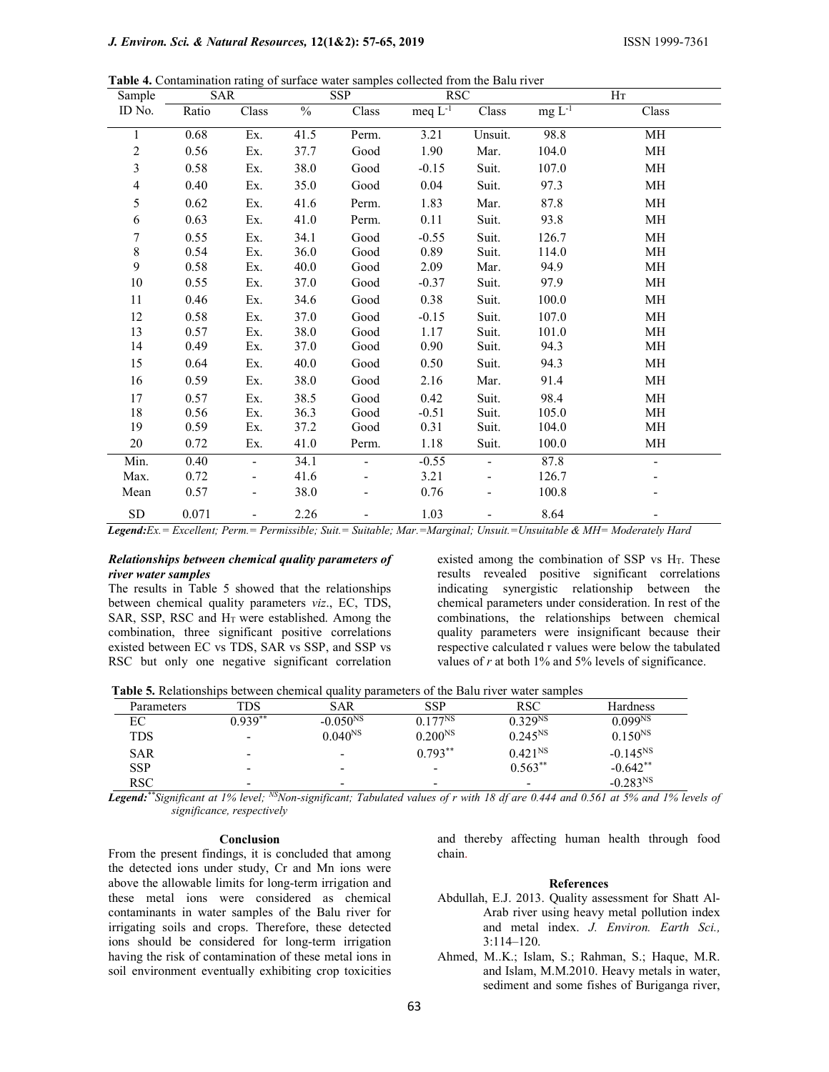Table 4. Contamination rating of surface water samples collected from the Balu river

| Sample         | <b>SAR</b> |                          | <b>SSP</b>    |       | <b>RSC</b>              |         | H <sub>T</sub> |       |
|----------------|------------|--------------------------|---------------|-------|-------------------------|---------|----------------|-------|
| ID No.         | Ratio      | Class                    | $\frac{0}{6}$ | Class | meq $\overline{L^{-1}}$ | Class   | $mg L-1$       | Class |
| 1              | 0.68       | Ex.                      | 41.5          | Perm. | 3.21                    | Unsuit. | 98.8           | MH    |
| $\overline{c}$ | 0.56       | Ex.                      | 37.7          | Good  | 1.90                    | Mar.    | 104.0          | MH    |
| 3              | 0.58       | Ex.                      | 38.0          | Good  | $-0.15$                 | Suit.   | 107.0          | MH    |
| 4              | 0.40       | Ex.                      | 35.0          | Good  | 0.04                    | Suit.   | 97.3           | МH    |
| 5              | 0.62       | Ex.                      | 41.6          | Perm. | 1.83                    | Mar.    | 87.8           | MH    |
| 6              | 0.63       | Ex.                      | 41.0          | Perm. | 0.11                    | Suit.   | 93.8           | MH    |
| 7              | 0.55       | Ex.                      | 34.1          | Good  | $-0.55$                 | Suit.   | 126.7          | MH    |
| $8\,$          | 0.54       | Ex.                      | 36.0          | Good  | 0.89                    | Suit.   | 114.0          | MH    |
| 9              | 0.58       | Ex.                      | 40.0          | Good  | 2.09                    | Mar.    | 94.9           | MH    |
| $10\,$         | 0.55       | Ex.                      | 37.0          | Good  | $-0.37$                 | Suit.   | 97.9           | MН    |
| 11             | 0.46       | Ex.                      | 34.6          | Good  | 0.38                    | Suit.   | 100.0          | MH    |
| 12             | 0.58       | Ex.                      | 37.0          | Good  | $-0.15$                 | Suit.   | 107.0          | MH    |
| 13             | 0.57       | Ex.                      | 38.0          | Good  | 1.17                    | Suit.   | 101.0          | MH    |
| 14             | 0.49       | Ex.                      | 37.0          | Good  | 0.90                    | Suit.   | 94.3           | МH    |
| 15             | 0.64       | Ex.                      | 40.0          | Good  | 0.50                    | Suit.   | 94.3           | MH    |
| 16             | 0.59       | Ex.                      | 38.0          | Good  | 2.16                    | Mar.    | 91.4           | MH    |
| 17             | 0.57       | Ex.                      | 38.5          | Good  | 0.42                    | Suit.   | 98.4           | MH    |
| 18             | 0.56       | Ex.                      | 36.3          | Good  | $-0.51$                 | Suit.   | 105.0          | МH    |
| 19             | 0.59       | Ex.                      | 37.2          | Good  | 0.31                    | Suit.   | 104.0          | MH    |
| 20             | 0.72       | Ex.                      | 41.0          | Perm. | 1.18                    | Suit.   | 100.0          | MH    |
| Min.           | 0.40       | $\overline{\phantom{0}}$ | 34.1          |       | $-0.55$                 |         | 87.8           |       |
| Max.           | 0.72       |                          | 41.6          |       | 3.21                    |         | 126.7          |       |
| Mean           | 0.57       |                          | 38.0          |       | 0.76                    |         | 100.8          |       |
| ${\rm SD}$     | 0.071      |                          | 2.26          |       | 1.03                    |         | 8.64           |       |

Legend:Ex. = Excellent; Perm. = Permissible; Suit. = Suitable; Mar. = Marginal; Unsuit. = Unsuitable & MH= Moderately Hard

### Relationships between chemical quality parameters of river water samples

The results in Table 5 showed that the relationships between chemical quality parameters viz., EC, TDS, SAR, SSP, RSC and  $H<sub>T</sub>$  were established. Among the combination, three significant positive correlations existed between EC vs TDS, SAR vs SSP, and SSP vs RSC but only one negative significant correlation

existed among the combination of SSP vs  $H_T$ . These results revealed positive significant correlations indicating synergistic relationship between the chemical parameters under consideration. In rest of the combinations, the relationships between chemical quality parameters were insignificant because their respective calculated r values were below the tabulated values of  $r$  at both 1% and 5% levels of significance.

Table 5. Relationships between chemical quality parameters of the Balu river water samples

| Parameters | TDS       | <b>SAR</b>    | <b>SSP</b>               | <b>RSC</b>          | <b>Hardness</b>     |
|------------|-----------|---------------|--------------------------|---------------------|---------------------|
| ЕC         | $0.939**$ | $-0.050^{NS}$ | $0.177^{NS}$             | 0.329 <sup>NS</sup> | 0.099 <sup>NS</sup> |
| <b>TDS</b> | -         | $0.040^{NS}$  | $0.200^{NS}$             | $0.245^{NS}$        | $0.150^{NS}$        |
| <b>SAR</b> | ۰         | -             | $0.793**$                | $0.421^{NS}$        | $-0.145^{NS}$       |
| <b>SSP</b> | -         | -             | $\overline{\phantom{0}}$ | $0.563***$          | $-0.642**$          |
| RSC.       | -         | -             | -                        | -                   | $-0.283NS$          |

Legend: \*\*Significant at 1% level; NSNon-significant; Tabulated values of r with 18 df are 0.444 and 0.561 at 5% and 1% levels of significance, respectively

#### Conclusion

From the present findings, it is concluded that among the detected ions under study, Cr and Mn ions were above the allowable limits for long-term irrigation and these metal ions were considered as chemical contaminants in water samples of the Balu river for irrigating soils and crops. Therefore, these detected ions should be considered for long-term irrigation having the risk of contamination of these metal ions in soil environment eventually exhibiting crop toxicities

and thereby affecting human health through food chain.

#### References

- Abdullah, E.J. 2013. Quality assessment for Shatt Al-Arab river using heavy metal pollution index and metal index. J. Environ. Earth Sci., 3:114–120.
- Ahmed, M..K.; Islam, S.; Rahman, S.; Haque, M.R. and Islam, M.M.2010. Heavy metals in water, sediment and some fishes of Buriganga river,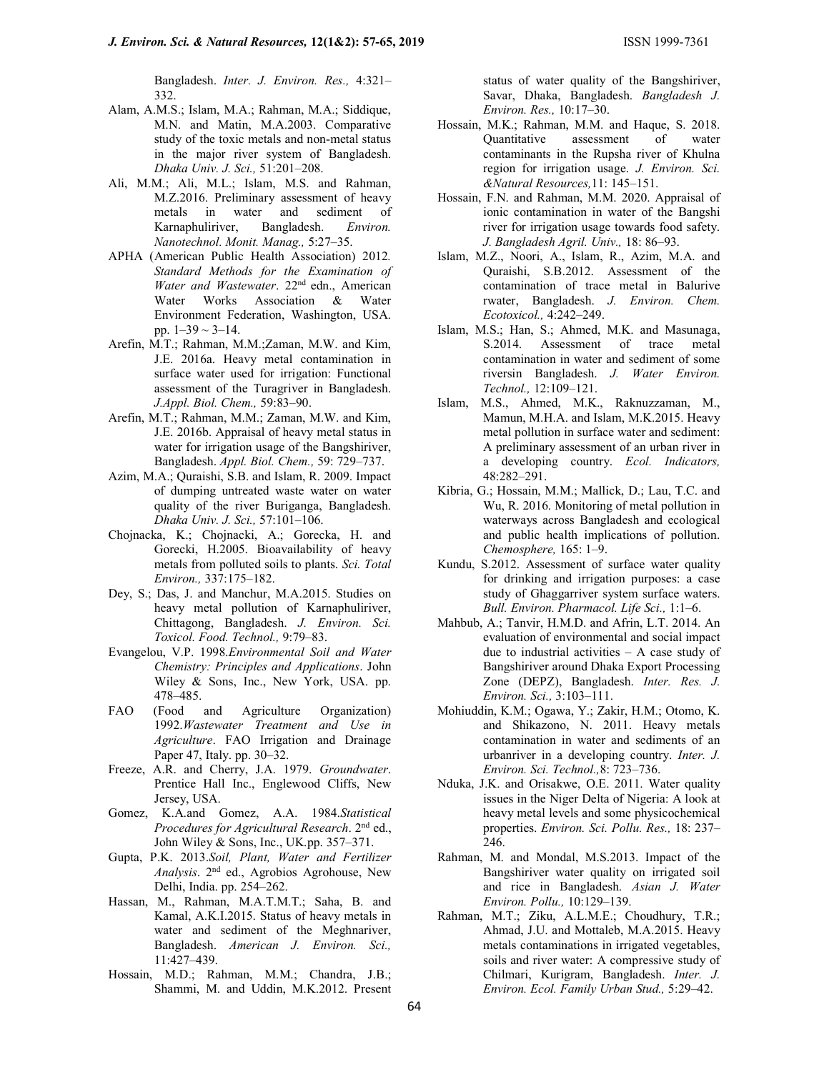Bangladesh. Inter. J. Environ. Res., 4:321– 332.

- Alam, A.M.S.; Islam, M.A.; Rahman, M.A.; Siddique, M.N. and Matin, M.A.2003. Comparative study of the toxic metals and non-metal status in the major river system of Bangladesh. Dhaka Univ. J. Sci., 51:201–208.
- Ali, M.M.; Ali, M.L.; Islam, M.S. and Rahman, M.Z.2016. Preliminary assessment of heavy metals in water and sediment of Karnaphuliriver, Bangladesh. Environ. Nanotechnol. Monit. Manag., 5:27–35.
- APHA (American Public Health Association) 2012. Standard Methods for the Examination of Water and Wastewater. 22<sup>nd</sup> edn., American Water Works Association & Water Environment Federation, Washington, USA. pp.  $1-39 \sim 3-14$ .
- Arefin, M.T.; Rahman, M.M.;Zaman, M.W. and Kim, J.E. 2016a. Heavy metal contamination in surface water used for irrigation: Functional assessment of the Turagriver in Bangladesh. J.Appl. Biol. Chem., 59:83–90.
- Arefin, M.T.; Rahman, M.M.; Zaman, M.W. and Kim, J.E. 2016b. Appraisal of heavy metal status in water for irrigation usage of the Bangshiriver, Bangladesh. Appl. Biol. Chem., 59: 729–737.
- Azim, M.A.; Quraishi, S.B. and Islam, R. 2009. Impact of dumping untreated waste water on water quality of the river Buriganga, Bangladesh. Dhaka Univ. J. Sci., 57:101–106.
- Chojnacka, K.; Chojnacki, A.; Gorecka, H. and Gorecki, H.2005. Bioavailability of heavy metals from polluted soils to plants. Sci. Total Environ., 337:175–182.
- Dey, S.; Das, J. and Manchur, M.A.2015. Studies on heavy metal pollution of Karnaphuliriver, Chittagong, Bangladesh. J. Environ. Sci. Toxicol. Food. Technol., 9:79–83.
- Evangelou, V.P. 1998.Environmental Soil and Water Chemistry: Principles and Applications. John Wiley & Sons, Inc., New York, USA. pp. 478–485.
- FAO (Food and Agriculture Organization) 1992.Wastewater Treatment and Use in Agriculture. FAO Irrigation and Drainage Paper 47, Italy. pp. 30–32.
- Freeze, A.R. and Cherry, J.A. 1979. Groundwater. Prentice Hall Inc., Englewood Cliffs, New Jersey, USA.
- Gomez, K.A.and Gomez, A.A. 1984.Statistical Procedures for Agricultural Research. 2<sup>nd</sup> ed., John Wiley & Sons, Inc., UK.pp. 357–371.
- Gupta, P.K. 2013.Soil, Plant, Water and Fertilizer Analysis. 2nd ed., Agrobios Agrohouse, New Delhi, India. pp. 254–262.
- Hassan, M., Rahman, M.A.T.M.T.; Saha, B. and Kamal, A.K.I.2015. Status of heavy metals in water and sediment of the Meghnariver, Bangladesh. American J. Environ. Sci., 11:427–439.
- Hossain, M.D.; Rahman, M.M.; Chandra, J.B.; Shammi, M. and Uddin, M.K.2012. Present

status of water quality of the Bangshiriver, Savar, Dhaka, Bangladesh. Bangladesh J. Environ. Res., 10:17–30.

- Hossain, M.K.; Rahman, M.M. and Haque, S. 2018. Quantitative assessment of water contaminants in the Rupsha river of Khulna region for irrigation usage. J. Environ. Sci. &Natural Resources,11: 145–151.
- Hossain, F.N. and Rahman, M.M. 2020. Appraisal of ionic contamination in water of the Bangshi river for irrigation usage towards food safety. J. Bangladesh Agril. Univ., 18: 86–93.
- Islam, M.Z., Noori, A., Islam, R., Azim, M.A. and Quraishi, S.B.2012. Assessment of the contamination of trace metal in Balurive rwater, Bangladesh. J. Environ. Chem. Ecotoxicol., 4:242–249.
- Islam, M.S.; Han, S.; Ahmed, M.K. and Masunaga, S.2014. Assessment of trace metal contamination in water and sediment of some riversin Bangladesh. J. Water Environ. Technol., 12:109–121.
- Islam, M.S., Ahmed, M.K., Raknuzzaman, M., Mamun, M.H.A. and Islam, M.K.2015. Heavy metal pollution in surface water and sediment: A preliminary assessment of an urban river in a developing country. Ecol. Indicators, 48:282–291.
- Kibria, G.; Hossain, M.M.; Mallick, D.; Lau, T.C. and Wu, R. 2016. Monitoring of metal pollution in waterways across Bangladesh and ecological and public health implications of pollution. Chemosphere, 165: 1–9.
- Kundu, S.2012. Assessment of surface water quality for drinking and irrigation purposes: a case study of Ghaggarriver system surface waters. Bull. Environ. Pharmacol. Life Sci., 1:1–6.
- Mahbub, A.; Tanvir, H.M.D. and Afrin, L.T. 2014. An evaluation of environmental and social impact due to industrial activities  $- A$  case study of Bangshiriver around Dhaka Export Processing Zone (DEPZ), Bangladesh. Inter. Res. J. Environ. Sci., 3:103–111.
- Mohiuddin, K.M.; Ogawa, Y.; Zakir, H.M.; Otomo, K. and Shikazono, N. 2011. Heavy metals contamination in water and sediments of an urbanriver in a developing country. Inter. J. Environ. Sci. Technol.,8: 723–736.
- Nduka, J.K. and Orisakwe, O.E. 2011. Water quality issues in the Niger Delta of Nigeria: A look at heavy metal levels and some physicochemical properties. Environ. Sci. Pollu. Res., 18: 237– 246.
- Rahman, M. and Mondal, M.S.2013. Impact of the Bangshiriver water quality on irrigated soil and rice in Bangladesh. Asian J. Water Environ. Pollu., 10:129–139.
- Rahman, M.T.; Ziku, A.L.M.E.; Choudhury, T.R.; Ahmad, J.U. and Mottaleb, M.A.2015. Heavy metals contaminations in irrigated vegetables, soils and river water: A compressive study of Chilmari, Kurigram, Bangladesh. Inter. J. Environ. Ecol. Family Urban Stud., 5:29–42.